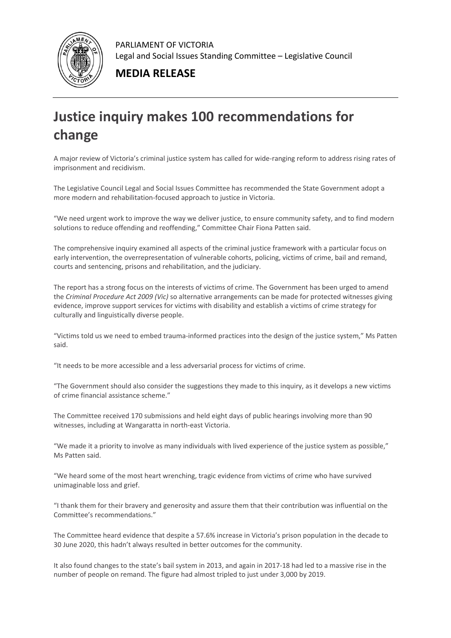

PARLIAMENT OF VICTORIA Legal and Social Issues Standing Committee – Legislative Council

**MEDIA RELEASE**

## **Justice inquiry makes 100 recommendations for change**

A major review of Victoria's criminal justice system has called for wide-ranging reform to address rising rates of imprisonment and recidivism.

The Legislative Council Legal and Social Issues Committee has recommended the State Government adopt a more modern and rehabilitation-focused approach to justice in Victoria.

"We need urgent work to improve the way we deliver justice, to ensure community safety, and to find modern solutions to reduce offending and reoffending," Committee Chair Fiona Patten said.

The comprehensive inquiry examined all aspects of the criminal justice framework with a particular focus on early intervention, the overrepresentation of vulnerable cohorts, policing, victims of crime, bail and remand, courts and sentencing, prisons and rehabilitation, and the judiciary.

The report has a strong focus on the interests of victims of crime. The Government has been urged to amend the *Criminal Procedure Act 2009 (Vic)* so alternative arrangements can be made for protected witnesses giving evidence, improve support services for victims with disability and establish a victims of crime strategy for culturally and linguistically diverse people.

"Victims told us we need to embed trauma-informed practices into the design of the justice system," Ms Patten said.

"It needs to be more accessible and a less adversarial process for victims of crime.

"The Government should also consider the suggestions they made to this inquiry, as it develops a new victims of crime financial assistance scheme."

The Committee received 170 submissions and held eight days of public hearings involving more than 90 witnesses, including at Wangaratta in north-east Victoria.

"We made it a priority to involve as many individuals with lived experience of the justice system as possible," Ms Patten said.

"We heard some of the most heart wrenching, tragic evidence from victims of crime who have survived unimaginable loss and grief.

"I thank them for their bravery and generosity and assure them that their contribution was influential on the Committee's recommendations."

The Committee heard evidence that despite a 57.6% increase in Victoria's prison population in the decade to 30 June 2020, this hadn't always resulted in better outcomes for the community.

It also found changes to the state's bail system in 2013, and again in 2017-18 had led to a massive rise in the number of people on remand. The figure had almost tripled to just under 3,000 by 2019.